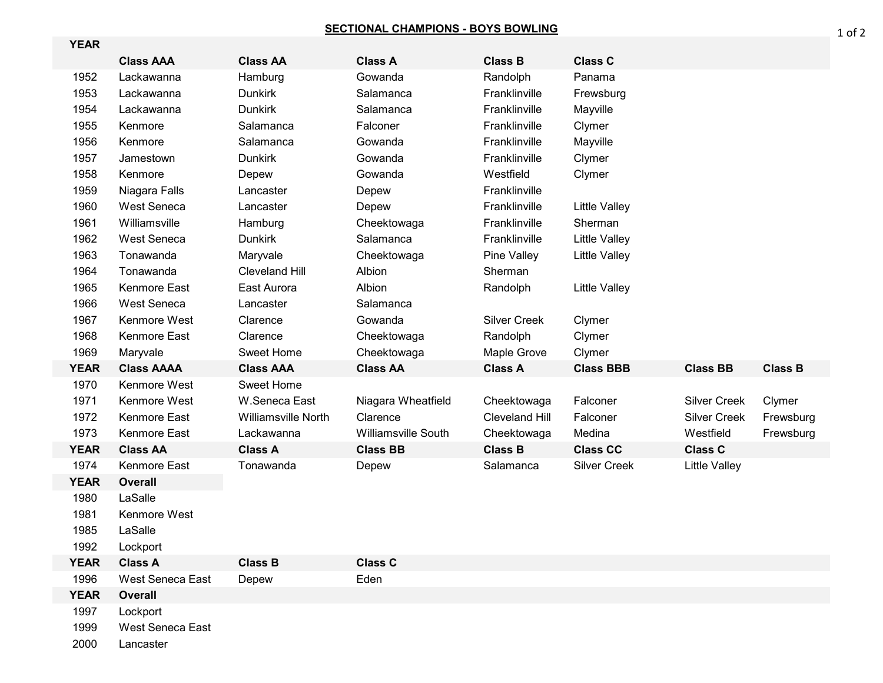## **SECTIONAL CHAMPIONS - BOYS BOWLING**

| <b>YEAR</b> |                   |                            |                            |                       |                      |                      |                |
|-------------|-------------------|----------------------------|----------------------------|-----------------------|----------------------|----------------------|----------------|
|             | <b>Class AAA</b>  | <b>Class AA</b>            | <b>Class A</b>             | <b>Class B</b>        | <b>Class C</b>       |                      |                |
| 1952        | Lackawanna        | Hamburg                    | Gowanda                    | Randolph              | Panama               |                      |                |
| 1953        | Lackawanna        | <b>Dunkirk</b>             | Salamanca                  | Franklinville         | Frewsburg            |                      |                |
| 1954        | Lackawanna        | <b>Dunkirk</b>             | Salamanca                  | Franklinville         | Mayville             |                      |                |
| 1955        | Kenmore           | Salamanca                  | Falconer                   | Franklinville         | Clymer               |                      |                |
| 1956        | Kenmore           | Salamanca                  | Gowanda                    | Franklinville         | Mayville             |                      |                |
| 1957        | Jamestown         | <b>Dunkirk</b>             | Gowanda                    | Franklinville         | Clymer               |                      |                |
| 1958        | Kenmore           | Depew                      | Gowanda                    | Westfield             | Clymer               |                      |                |
| 1959        | Niagara Falls     | Lancaster                  | Depew                      | Franklinville         |                      |                      |                |
| 1960        | West Seneca       | Lancaster                  | Depew                      | Franklinville         | <b>Little Valley</b> |                      |                |
| 1961        | Williamsville     | Hamburg                    | Cheektowaga                | Franklinville         | Sherman              |                      |                |
| 1962        | West Seneca       | <b>Dunkirk</b>             | Salamanca                  | Franklinville         | <b>Little Valley</b> |                      |                |
| 1963        | Tonawanda         | Maryvale                   | Cheektowaga                | Pine Valley           | <b>Little Valley</b> |                      |                |
| 1964        | Tonawanda         | <b>Cleveland Hill</b>      | Albion                     | Sherman               |                      |                      |                |
| 1965        | Kenmore East      | East Aurora                | Albion                     | Randolph              | <b>Little Valley</b> |                      |                |
| 1966        | West Seneca       | Lancaster                  | Salamanca                  |                       |                      |                      |                |
| 1967        | Kenmore West      | Clarence                   | Gowanda                    | <b>Silver Creek</b>   | Clymer               |                      |                |
| 1968        | Kenmore East      | Clarence                   | Cheektowaga                | Randolph              | Clymer               |                      |                |
| 1969        | Maryvale          | Sweet Home                 | Cheektowaga                | Maple Grove           | Clymer               |                      |                |
| <b>YEAR</b> | <b>Class AAAA</b> | <b>Class AAA</b>           | <b>Class AA</b>            | <b>Class A</b>        | <b>Class BBB</b>     | <b>Class BB</b>      | <b>Class B</b> |
| 1970        | Kenmore West      | <b>Sweet Home</b>          |                            |                       |                      |                      |                |
| 1971        | Kenmore West      | W.Seneca East              | Niagara Wheatfield         | Cheektowaga           | Falconer             | <b>Silver Creek</b>  | Clymer         |
| 1972        | Kenmore East      | <b>Williamsville North</b> | Clarence                   | <b>Cleveland Hill</b> | Falconer             | <b>Silver Creek</b>  | Frewsburg      |
| 1973        | Kenmore East      | Lackawanna                 | <b>Williamsville South</b> | Cheektowaga           | Medina               | Westfield            | Frewsburg      |
| <b>YEAR</b> | <b>Class AA</b>   | <b>Class A</b>             | <b>Class BB</b>            | <b>Class B</b>        | <b>Class CC</b>      | <b>Class C</b>       |                |
| 1974        | Kenmore East      | Tonawanda                  | Depew                      | Salamanca             | <b>Silver Creek</b>  | <b>Little Valley</b> |                |
| <b>YEAR</b> | <b>Overall</b>    |                            |                            |                       |                      |                      |                |
| 1980        | LaSalle           |                            |                            |                       |                      |                      |                |
| 1981        | Kenmore West      |                            |                            |                       |                      |                      |                |
| 1985        | LaSalle           |                            |                            |                       |                      |                      |                |
| 1992        | Lockport          |                            |                            |                       |                      |                      |                |
| <b>YEAR</b> | <b>Class A</b>    | <b>Class B</b>             | <b>Class C</b>             |                       |                      |                      |                |
| 1996        | West Seneca East  | Depew                      | Eden                       |                       |                      |                      |                |
| <b>YEAR</b> | Overall           |                            |                            |                       |                      |                      |                |
| 1997        | Lockport          |                            |                            |                       |                      |                      |                |
| 1999        | West Seneca East  |                            |                            |                       |                      |                      |                |

Lancaster